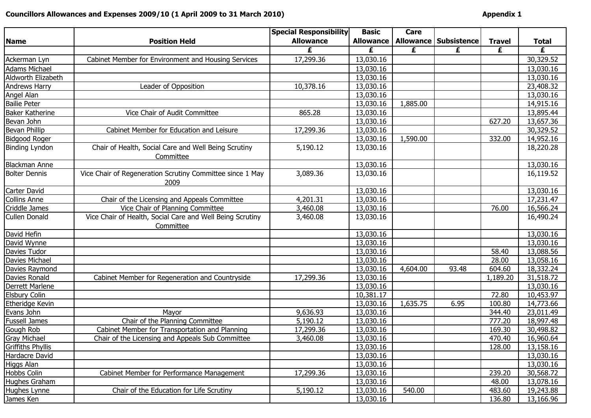## Councillors Allowances and Expenses 2009/10 (1 April 2009 to 31 March 2010)

|                          |                                                                   | <b>Special Responsibility</b> | <b>Basic</b>     | Care     |                                |               |              |
|--------------------------|-------------------------------------------------------------------|-------------------------------|------------------|----------|--------------------------------|---------------|--------------|
| <b>Name</b>              | <b>Position Held</b>                                              | <b>Allowance</b>              | <b>Allowance</b> |          | <b>Allowance   Subsistence</b> | <b>Travel</b> | <b>Total</b> |
|                          |                                                                   | £                             | £                | £        | £                              | £             | £            |
| Ackerman Lyn             | Cabinet Member for Environment and Housing Services               | 17,299.36                     | 13,030.16        |          |                                |               | 30,329.52    |
| <b>Adams Michael</b>     |                                                                   |                               | 13,030.16        |          |                                |               | 13,030.16    |
| Aldworth Elizabeth       |                                                                   |                               | 13,030.16        |          |                                |               | 13,030.16    |
| <b>Andrews Harry</b>     | Leader of Opposition                                              | 10,378.16                     | 13,030.16        |          |                                |               | 23,408.32    |
| Angel Alan               |                                                                   |                               | 13,030.16        |          |                                |               | 13,030.16    |
| <b>Bailie Peter</b>      |                                                                   |                               | 13,030.16        | 1,885.00 |                                |               | 14,915.16    |
| <b>Baker Katherine</b>   | Vice Chair of Audit Committee                                     | 865.28                        | 13,030.16        |          |                                |               | 13,895.44    |
| Bevan John               |                                                                   |                               | 13,030.16        |          |                                | 627.20        | 13,657.36    |
| Bevan Phillip            | Cabinet Member for Education and Leisure                          | 17,299.36                     | 13,030.16        |          |                                |               | 30,329.52    |
| Bidgood Roger            |                                                                   |                               | 13,030.16        | 1,590.00 |                                | 332.00        | 14,952.16    |
| <b>Binding Lyndon</b>    | Chair of Health, Social Care and Well Being Scrutiny              | 5,190.12                      | 13,030.16        |          |                                |               | 18,220.28    |
|                          | Committee                                                         |                               |                  |          |                                |               |              |
| <b>Blackman Anne</b>     |                                                                   |                               | 13,030.16        |          |                                |               | 13,030.16    |
| <b>Bolter Dennis</b>     | Vice Chair of Regeneration Scrutiny Committee since 1 May<br>2009 | 3,089.36                      | 13,030.16        |          |                                |               | 16,119.52    |
| Carter David             |                                                                   |                               | 13,030.16        |          |                                |               | 13,030.16    |
| <b>Collins Anne</b>      | Chair of the Licensing and Appeals Committee                      | 4,201.31                      | 13,030.16        |          |                                |               | 17,231.47    |
| Criddle James            | Vice Chair of Planning Committee                                  | 3,460.08                      | 13,030.16        |          |                                | 76.00         | 16,566.24    |
| <b>Cullen Donald</b>     | Vice Chair of Health, Social Care and Well Being Scrutiny         | 3,460.08                      | 13,030.16        |          |                                |               | 16,490.24    |
|                          | Committee                                                         |                               |                  |          |                                |               |              |
| David Hefin              |                                                                   |                               | 13,030.16        |          |                                |               | 13,030.16    |
| David Wynne              |                                                                   |                               | 13,030.16        |          |                                |               | 13,030.16    |
| Davies Tudor             |                                                                   |                               | 13,030.16        |          |                                | 58.40         | 13,088.56    |
| Davies Michael           |                                                                   |                               | 13,030.16        |          |                                | 28.00         | 13,058.16    |
| Davies Raymond           |                                                                   |                               | 13,030.16        | 4,604.00 | 93.48                          | 604.60        | 18,332.24    |
| Davies Ronald            | Cabinet Member for Regeneration and Countryside                   | 17,299.36                     | 13,030.16        |          |                                | 1,189.20      | 31,518.72    |
| Derrett Marlene          |                                                                   |                               | 13,030.16        |          |                                |               | 13,030.16    |
| <b>Elsbury Colin</b>     |                                                                   |                               | 10,381.17        |          |                                | 72.80         | 10,453.97    |
| Etheridge Kevin          |                                                                   |                               | 13,030.16        | 1,635.75 | 6.95                           | 100.80        | 14,773.66    |
| Evans John               | Mayor                                                             | 9,636.93                      | 13,030.16        |          |                                | 344.40        | 23,011.49    |
| <b>Fussell James</b>     | Chair of the Planning Committee                                   | 5,190.12                      | 13,030.16        |          |                                | 777.20        | 18,997.48    |
| Gough Rob                | Cabinet Member for Transportation and Planning                    | 17,299.36                     | 13,030.16        |          |                                | 169.30        | 30,498.82    |
| <b>Gray Michael</b>      | Chair of the Licensing and Appeals Sub Committee                  | 3,460.08                      | 13,030.16        |          |                                | 470.40        | 16,960.64    |
| <b>Griffiths Phyllis</b> |                                                                   |                               | 13,030.16        |          |                                | 128.00        | 13,158.16    |
| Hardacre David           |                                                                   |                               | 13,030.16        |          |                                |               | 13,030.16    |
| Higgs Alan               |                                                                   |                               | 13,030.16        |          |                                |               | 13,030.16    |
| Hobbs Colin              | Cabinet Member for Performance Management                         | 17,299.36                     | 13,030.16        |          |                                | 239.20        | 30,568.72    |
| Hughes Graham            |                                                                   |                               | 13,030.16        |          |                                | 48.00         | 13,078.16    |
| Hughes Lynne             | Chair of the Education for Life Scrutiny                          | 5,190.12                      | 13,030.16        | 540.00   |                                | 483.60        | 19,243.88    |
| James Ken                |                                                                   |                               | 13,030.16        |          |                                | 136.80        | 13,166.96    |